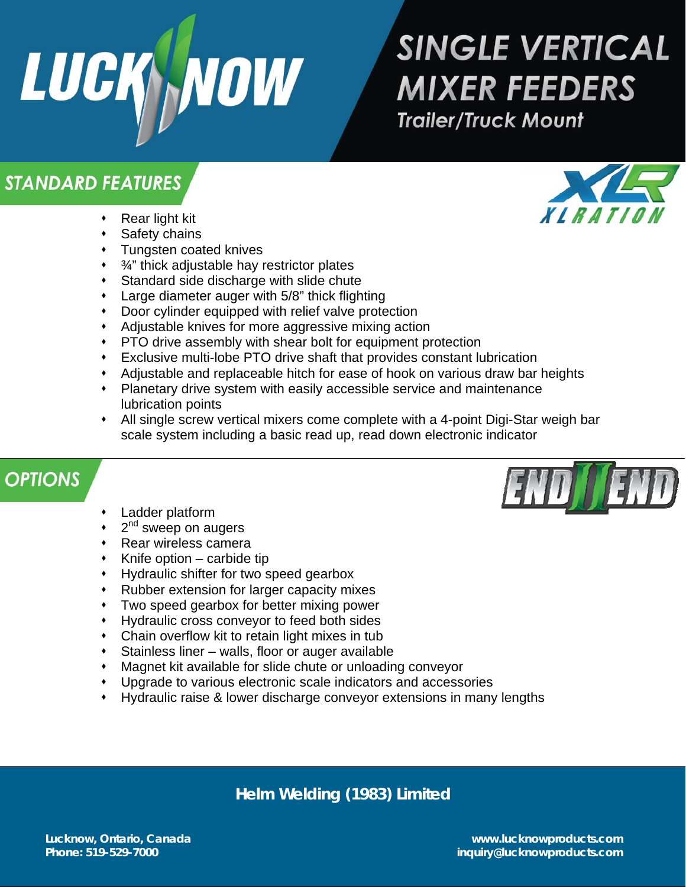

# **SINGLE VERTICAL MIXER FEEDERS Trailer/Truck Mount**

### **STANDARD FEATURES**

- Rear light kit
- Safety chains
- Tungsten coated knives
- $\cdot$   $\frac{3}{4}$ " thick adjustable hay restrictor plates
- Standard side discharge with slide chute
- Large diameter auger with 5/8" thick flighting
- Door cylinder equipped with relief valve protection
- Adjustable knives for more aggressive mixing action
- PTO drive assembly with shear bolt for equipment protection
- Exclusive multi-lobe PTO drive shaft that provides constant lubrication
- Adjustable and replaceable hitch for ease of hook on various draw bar heights
- Planetary drive system with easily accessible service and maintenance lubrication points
- All single screw vertical mixers come complete with a 4-point Digi-Star weigh bar scale system including a basic read up, read down electronic indicator

# **OPTIONS**

- Ladder platform
- 2<sup>nd</sup> sweep on augers
- Rear wireless camera
- $\cdot$  Knife option carbide tip
- Hydraulic shifter for two speed gearbox
- Rubber extension for larger capacity mixes
- Two speed gearbox for better mixing power
- Hydraulic cross conveyor to feed both sides
- Chain overflow kit to retain light mixes in tub
- Stainless liner walls, floor or auger available
- Magnet kit available for slide chute or unloading conveyor
- Upgrade to various electronic scale indicators and accessories
- Hydraulic raise & lower discharge conveyor extensions in many lengths

#### **Helm Welding (1983) Limited**



**Lucknow, Ontario, Canada www.lucknowproducts.com Phone: 519-529-7000 inquiry@lucknowproducts.com**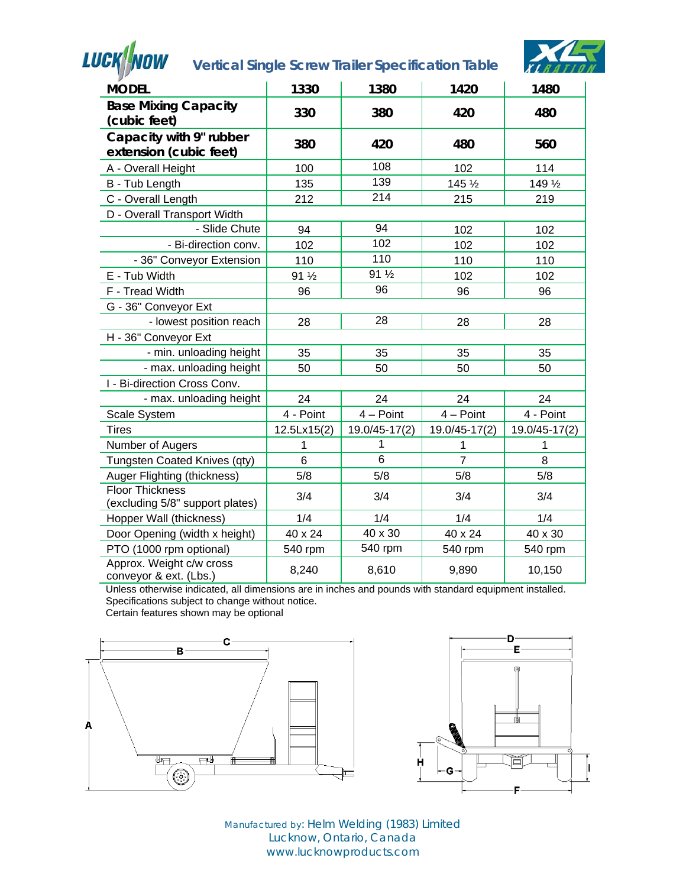

# **Vertical Single Screw Trailer Specification Table**



| $\mathcal{F}$                                             |             |               |                |                   |
|-----------------------------------------------------------|-------------|---------------|----------------|-------------------|
| <b>MODEL</b>                                              | 1330        | 1380          | 1420           | 1480              |
| <b>Base Mixing Capacity</b><br>(cubic feet)               | 330         | 380           | 420            | 480               |
| Capacity with 9" rubber<br>extension (cubic feet)         | 380         | 420           | 480            | 560               |
| A - Overall Height                                        | 100         | 108           | 102            | 114               |
| B - Tub Length                                            | 135         | 139           | 145 1/2        | 149 $\frac{1}{2}$ |
| C - Overall Length                                        | 212         | 214           | 215            | 219               |
| D - Overall Transport Width                               |             |               |                |                   |
| - Slide Chute                                             | 94          | 94            | 102            | 102               |
| - Bi-direction conv.                                      | 102         | 102           | 102            | 102               |
| - 36" Conveyor Extension                                  | 110         | 110           | 110            | 110               |
| E - Tub Width                                             | 91 1/2      | 91 1/2        | 102            | 102               |
| F - Tread Width                                           | 96          | 96            | 96             | 96                |
| G - 36" Conveyor Ext                                      |             |               |                |                   |
| - lowest position reach                                   | 28          | 28            | 28             | 28                |
| H - 36" Conveyor Ext                                      |             |               |                |                   |
| - min. unloading height                                   | 35          | 35            | 35             | 35                |
| - max. unloading height                                   | 50          | 50            | 50             | 50                |
| I - Bi-direction Cross Conv.                              |             |               |                |                   |
| - max. unloading height                                   | 24          | 24            | 24             | 24                |
| Scale System                                              | 4 - Point   | $4 - Point$   | $4 - Point$    | 4 - Point         |
| <b>Tires</b>                                              | 12.5Lx15(2) | 19.0/45-17(2) | 19.0/45-17(2)  | 19.0/45-17(2)     |
| Number of Augers                                          | 1           | 1             | 1              | 1                 |
| Tungsten Coated Knives (qty)                              | 6           | 6             | $\overline{7}$ | 8                 |
| Auger Flighting (thickness)                               | 5/8         | 5/8           | 5/8            | 5/8               |
| <b>Floor Thickness</b><br>(excluding 5/8" support plates) | 3/4         | 3/4           | 3/4            | 3/4               |
| Hopper Wall (thickness)                                   | 1/4         | 1/4           | 1/4            | 1/4               |
| Door Opening (width x height)                             | 40 x 24     | 40 x 30       | 40 x 24        | 40 x 30           |
| PTO (1000 rpm optional)                                   | 540 rpm     | 540 rpm       | 540 rpm        | 540 rpm           |
| Approx. Weight c/w cross<br>conveyor & ext. (Lbs.)        | 8,240       | 8,610         | 9,890          | 10,150            |

Unless otherwise indicated, all dimensions are in inches and pounds with standard equipment installed. Specifications subject to change without notice.

Certain features shown may be optional





Manufactured by: Helm Welding (1983) Limited Lucknow, Ontario, Canada www.lucknowproducts.com